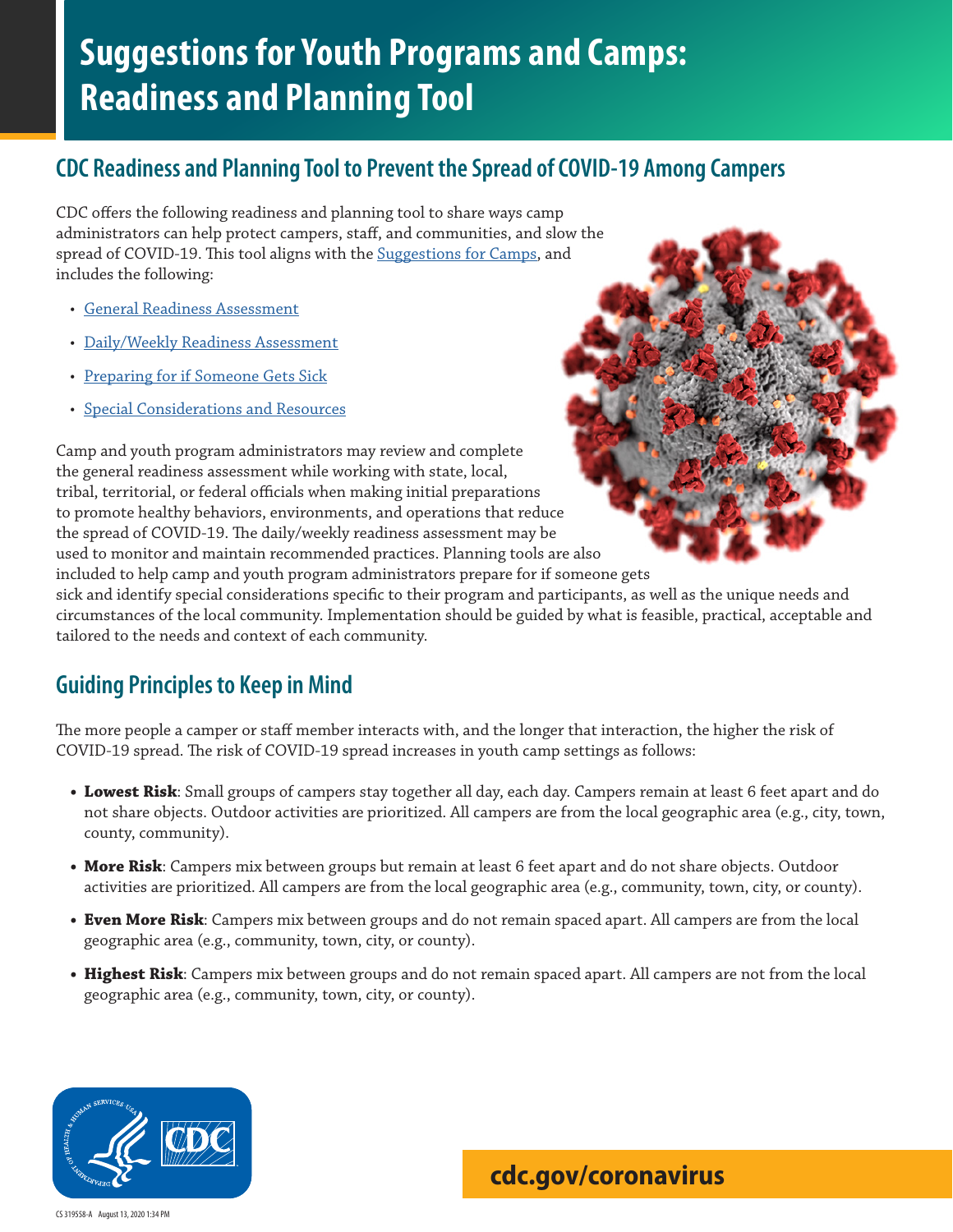# **Suggestions for Youth Programs and Camps: Readiness and Planning Tool**

# **CDC Readiness and Planning Tool to Prevent the Spread of COVID-19 Among Campers**

CDC offers the following readiness and planning tool to share ways camp administrators can help protect campers, staff, and communities, and slow the spread of COVID-19. This tool aligns with the Suggestion[s for Camps](https://www.cdc.gov/coronavirus/2019-ncov/community/schools-childcare/summer-camps.html), and includes the following:

- [General Readiness Assessment](#page-1-0)
- [Daily/Weekly Readiness Assessment](#page-4-0)
- [Preparing for if Someone Gets Sick](#page-7-0)
- [Special Considerations and Resources](#page-8-0)

Camp and youth program administrators may review and complete the general readiness assessment while working with state, local, tribal, territorial, or federal officials when making initial preparations to promote healthy behaviors, environments, and operations that reduce the spread of COVID-19. The daily/weekly readiness assessment may be used to monitor and maintain recommended practices. Planning tools are also included to help camp and youth program administrators prepare for if someone gets

sick and identify special considerations specific to their program and participants, as well as the unique needs and circumstances of the local community. Implementation should be guided by what is feasible, practical, acceptable and tailored to the needs and context of each community.

# **Guiding Principles to Keep in Mind**

The more people a camper or staff member interacts with, and the longer that interaction, the higher the risk of COVID-19 spread. The risk of COVID-19 spread increases in youth camp settings as follows:

- **• Lowest Risk**: Small groups of campers stay together all day, each day. Campers remain at least 6 feet apart and do not share objects. Outdoor activities are prioritized. All campers are from the local geographic area (e.g., city, town, county, community).
- **• More Risk**: Campers mix between groups but remain at least 6 feet apart and do not share objects. Outdoor activities are prioritized. All campers are from the local geographic area (e.g., community, town, city, or county).
- **• Even More Risk**: Campers mix between groups and do not remain spaced apart. All campers are from the local geographic area (e.g., community, town, city, or county).
- **• Highest Risk**: Campers mix between groups and do not remain spaced apart. All campers are not from the local geographic area (e.g., community, town, city, or county).



CS 319558-A August 13, 2020 1:34 PM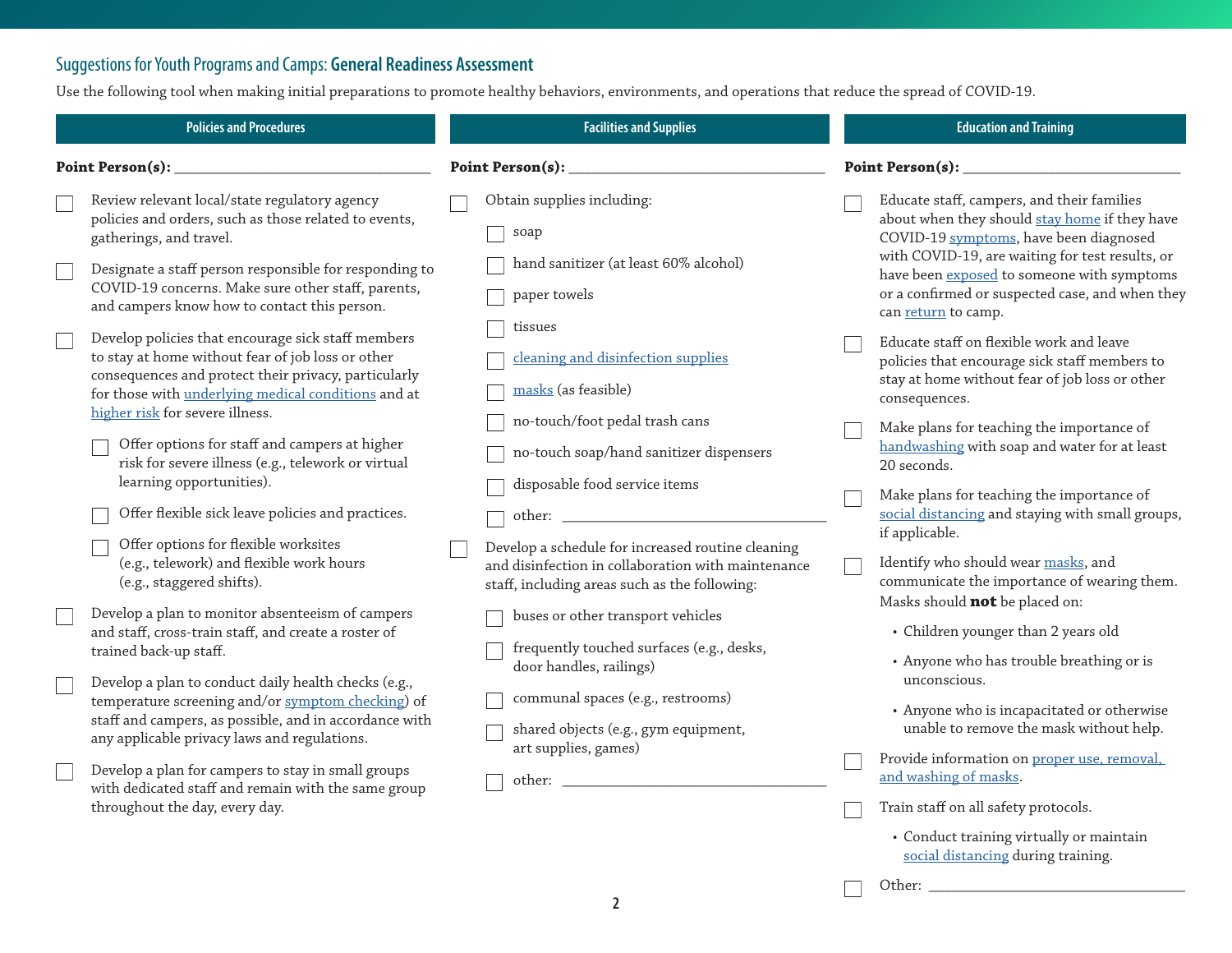### <span id="page-1-0"></span>Suggestions for Youth Programs and Camps: **General Readiness Assessment**

Use the following tool when making initial preparations to promote healthy behaviors, environments, and operations that reduce the spread of COVID-19.

|                  | <b>Policies and Procedures</b>                                                                                                                                                                                         | <b>Facilities and Supplies</b>                                                                                                                           |                         | <b>Education and Training</b>                                                                                                                                           |  |
|------------------|------------------------------------------------------------------------------------------------------------------------------------------------------------------------------------------------------------------------|----------------------------------------------------------------------------------------------------------------------------------------------------------|-------------------------|-------------------------------------------------------------------------------------------------------------------------------------------------------------------------|--|
| Point Person(s): |                                                                                                                                                                                                                        | Point Person(s): $\_$                                                                                                                                    | <b>Point Person(s):</b> |                                                                                                                                                                         |  |
|                  | Review relevant local/state regulatory agency<br>policies and orders, such as those related to events,<br>gatherings, and travel.                                                                                      | Obtain supplies including:<br>soap                                                                                                                       |                         | Educate staff, campers, and their families<br>about when they should stay home if they have<br>COVID-19 symptoms, have been diagnosed                                   |  |
|                  | Designate a staff person responsible for responding to<br>COVID-19 concerns. Make sure other staff, parents,<br>and campers know how to contact this person.                                                           | hand sanitizer (at least 60% alcohol)<br>paper towels                                                                                                    |                         | with COVID-19, are waiting for test results, or<br>have been exposed to someone with symptoms<br>or a confirmed or suspected case, and when they<br>can return to camp. |  |
|                  | Develop policies that encourage sick staff members<br>to stay at home without fear of job loss or other<br>consequences and protect their privacy, particularly<br>for those with underlying medical conditions and at | tissues<br>cleaning and disinfection supplies<br>masks (as feasible)                                                                                     |                         | Educate staff on flexible work and leave<br>policies that encourage sick staff members to<br>stay at home without fear of job loss or other<br>consequences.            |  |
|                  | higher risk for severe illness.<br>Offer options for staff and campers at higher<br>risk for severe illness (e.g., telework or virtual<br>learning opportunities).                                                     | no-touch/foot pedal trash cans<br>no-touch soap/hand sanitizer dispensers                                                                                |                         | Make plans for teaching the importance of<br>handwashing with soap and water for at least<br>20 seconds.                                                                |  |
|                  | Offer flexible sick leave policies and practices.<br>Offer options for flexible worksites                                                                                                                              | disposable food service items                                                                                                                            |                         | Make plans for teaching the importance of<br>social distancing and staying with small groups,<br>if applicable.                                                         |  |
|                  | (e.g., telework) and flexible work hours<br>(e.g., staggered shifts).                                                                                                                                                  | Develop a schedule for increased routine cleaning<br>and disinfection in collaboration with maintenance<br>staff, including areas such as the following: |                         | Identify who should wear masks, and<br>communicate the importance of wearing them.<br>Masks should <b>not</b> be placed on:                                             |  |
|                  | Develop a plan to monitor absenteeism of campers<br>and staff, cross-train staff, and create a roster of<br>trained back-up staff.                                                                                     | buses or other transport vehicles<br>frequently touched surfaces (e.g., desks,<br>door handles, railings)                                                |                         | • Children younger than 2 years old<br>• Anyone who has trouble breathing or is                                                                                         |  |
|                  | Develop a plan to conduct daily health checks (e.g.,<br>temperature screening and/or symptom checking) of<br>staff and campers, as possible, and in accordance with<br>any applicable privacy laws and regulations.    | communal spaces (e.g., restrooms)<br>shared objects (e.g., gym equipment,<br>art supplies, games)                                                        |                         | unconscious.<br>• Anyone who is incapacitated or otherwise<br>unable to remove the mask without help.                                                                   |  |
|                  | Develop a plan for campers to stay in small groups<br>with dedicated staff and remain with the same group<br>throughout the day, every day.                                                                            | other:                                                                                                                                                   |                         | Provide information on proper use, removal,<br>and washing of masks.<br>Train staff on all safety protocols.                                                            |  |
|                  |                                                                                                                                                                                                                        |                                                                                                                                                          |                         |                                                                                                                                                                         |  |

• Conduct training virtually or maintain [social distancing](https://www.cdc.gov/coronavirus/2019-ncov/prevent-getting-sick/social-distancing.html) during training.

Other: \_\_\_\_\_\_\_\_\_\_\_\_\_\_\_\_\_\_\_\_\_\_\_\_\_\_\_\_\_\_\_\_\_

 $\Box$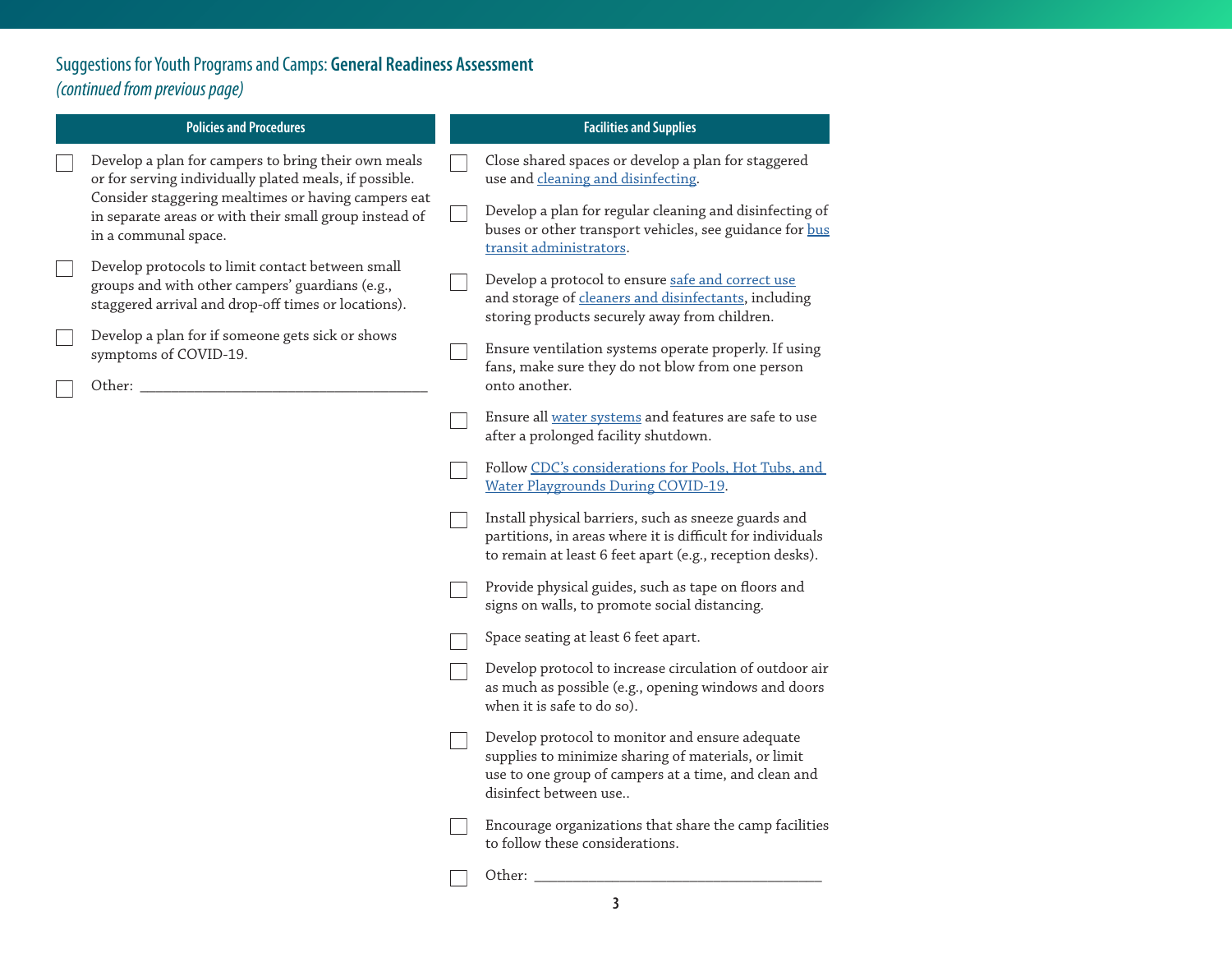Suggestions for Youth Programs and Camps: **General Readiness Assessment**  *(continued from previous page)*

| <b>Policies and Procedures</b> |                                                                                                                                                            |  | <b>Facilities and Supplies</b>                                                                                                                                                          |
|--------------------------------|------------------------------------------------------------------------------------------------------------------------------------------------------------|--|-----------------------------------------------------------------------------------------------------------------------------------------------------------------------------------------|
|                                | Develop a plan for campers to bring their own meals<br>or for serving individually plated meals, if possible.                                              |  | Close shared spaces or develop a plan for staggered<br>use and cleaning and disinfecting.                                                                                               |
|                                | Consider staggering mealtimes or having campers eat<br>in separate areas or with their small group instead of<br>in a communal space.                      |  | Develop a plan for regular cleaning and disinfecting of<br>buses or other transport vehicles, see guidance for bus<br>transit administrators.                                           |
|                                | Develop protocols to limit contact between small<br>groups and with other campers' guardians (e.g.,<br>staggered arrival and drop-off times or locations). |  | Develop a protocol to ensure safe and correct use<br>and storage of cleaners and disinfectants, including<br>storing products securely away from children.                              |
|                                | Develop a plan for if someone gets sick or shows<br>symptoms of COVID-19.<br>Other: _                                                                      |  | Ensure ventilation systems operate properly. If using<br>fans, make sure they do not blow from one person<br>onto another.                                                              |
|                                |                                                                                                                                                            |  | Ensure all water systems and features are safe to use<br>after a prolonged facility shutdown.                                                                                           |
|                                |                                                                                                                                                            |  | Follow CDC's considerations for Pools, Hot Tubs, and<br><b>Water Playgrounds During COVID-19.</b>                                                                                       |
|                                |                                                                                                                                                            |  | Install physical barriers, such as sneeze guards and<br>partitions, in areas where it is difficult for individuals<br>to remain at least 6 feet apart (e.g., reception desks).          |
|                                |                                                                                                                                                            |  | Provide physical guides, such as tape on floors and<br>signs on walls, to promote social distancing.                                                                                    |
|                                |                                                                                                                                                            |  | Space seating at least 6 feet apart.                                                                                                                                                    |
|                                |                                                                                                                                                            |  | Develop protocol to increase circulation of outdoor air<br>as much as possible (e.g., opening windows and doors<br>when it is safe to do so).                                           |
|                                |                                                                                                                                                            |  | Develop protocol to monitor and ensure adequate<br>supplies to minimize sharing of materials, or limit<br>use to one group of campers at a time, and clean and<br>disinfect between use |
|                                |                                                                                                                                                            |  | Encourage organizations that share the camp facilities<br>to follow these considerations.                                                                                               |
|                                |                                                                                                                                                            |  | Other:                                                                                                                                                                                  |

**3**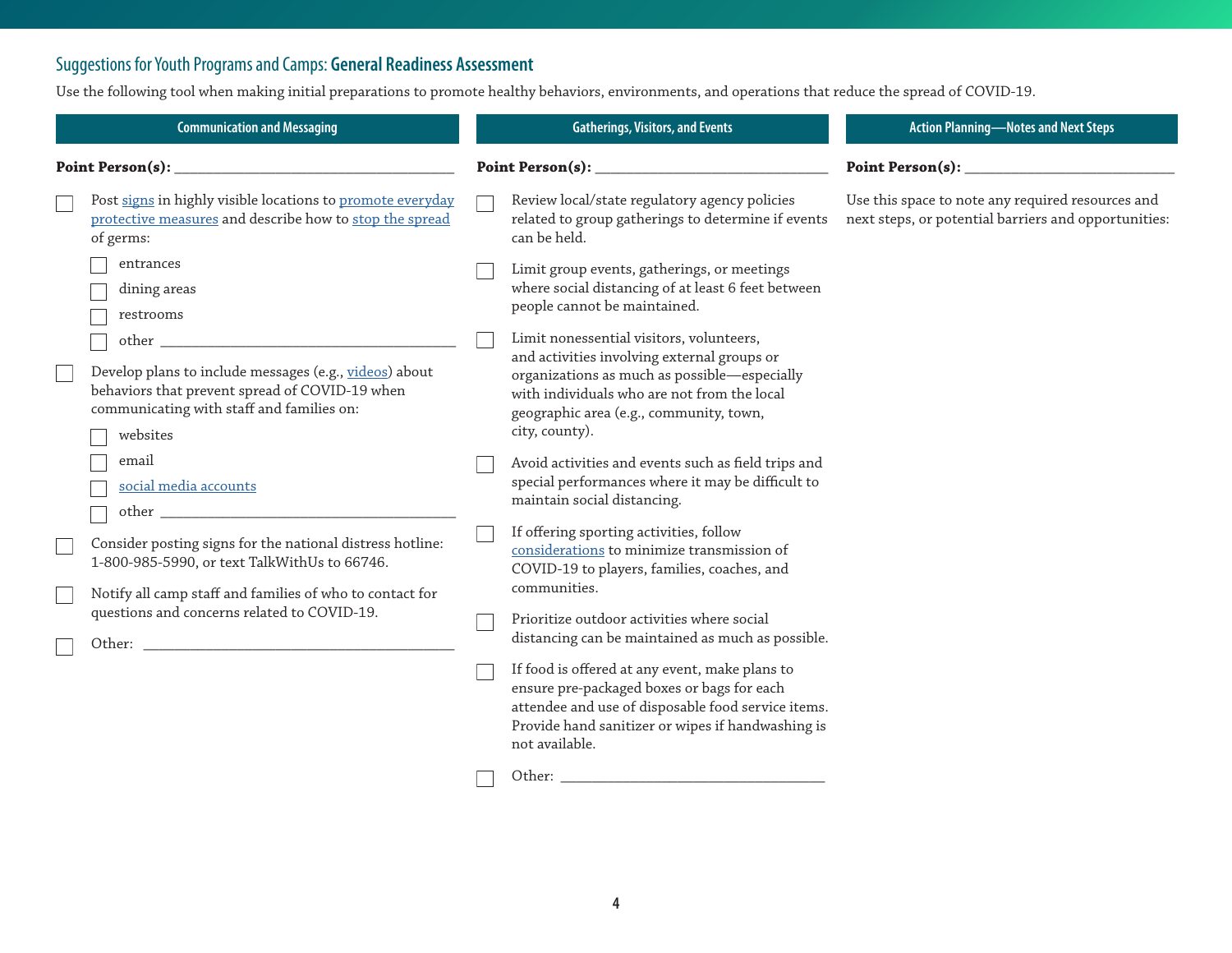# Suggestions for Youth Programs and Camps: **General Readiness Assessment**

Use the following tool when making initial preparations to promote healthy behaviors, environments, and operations that reduce the spread of COVID-19.

|                         | <b>Communication and Messaging</b>                                                                                                                                         | <b>Gatherings, Visitors, and Events</b>                                                                                                                                                                                                             |  | <b>Action Planning-Notes and Next Steps</b>                                                               |
|-------------------------|----------------------------------------------------------------------------------------------------------------------------------------------------------------------------|-----------------------------------------------------------------------------------------------------------------------------------------------------------------------------------------------------------------------------------------------------|--|-----------------------------------------------------------------------------------------------------------|
| Point Person(s): $_{-}$ |                                                                                                                                                                            | Point Person(s): $\_\_$                                                                                                                                                                                                                             |  |                                                                                                           |
|                         | Post signs in highly visible locations to promote everyday<br>protective measures and describe how to stop the spread<br>of germs:                                         | Review local/state regulatory agency policies<br>related to group gatherings to determine if events<br>can be held.                                                                                                                                 |  | Use this space to note any required resources and<br>next steps, or potential barriers and opportunities: |
|                         | entrances<br>dining areas<br>restrooms                                                                                                                                     | Limit group events, gatherings, or meetings<br>where social distancing of at least 6 feet between<br>people cannot be maintained.                                                                                                                   |  |                                                                                                           |
|                         | other<br>Develop plans to include messages (e.g., videos) about<br>behaviors that prevent spread of COVID-19 when<br>communicating with staff and families on:<br>websites | Limit nonessential visitors, volunteers,<br>and activities involving external groups or<br>organizations as much as possible-especially<br>with individuals who are not from the local<br>geographic area (e.g., community, town,<br>city, county). |  |                                                                                                           |
|                         | email<br>social media accounts                                                                                                                                             | Avoid activities and events such as field trips and<br>special performances where it may be difficult to<br>maintain social distancing.                                                                                                             |  |                                                                                                           |
|                         | Consider posting signs for the national distress hotline:<br>1-800-985-5990, or text TalkWithUs to 66746.<br>Notify all camp staff and families of who to contact for      | If offering sporting activities, follow<br>considerations to minimize transmission of<br>COVID-19 to players, families, coaches, and<br>communities.                                                                                                |  |                                                                                                           |
|                         | questions and concerns related to COVID-19.<br>Other:                                                                                                                      | Prioritize outdoor activities where social<br>distancing can be maintained as much as possible.                                                                                                                                                     |  |                                                                                                           |
|                         |                                                                                                                                                                            | If food is offered at any event, make plans to<br>ensure pre-packaged boxes or bags for each<br>attendee and use of disposable food service items.<br>Provide hand sanitizer or wipes if handwashing is<br>not available.                           |  |                                                                                                           |
|                         |                                                                                                                                                                            | Other:                                                                                                                                                                                                                                              |  |                                                                                                           |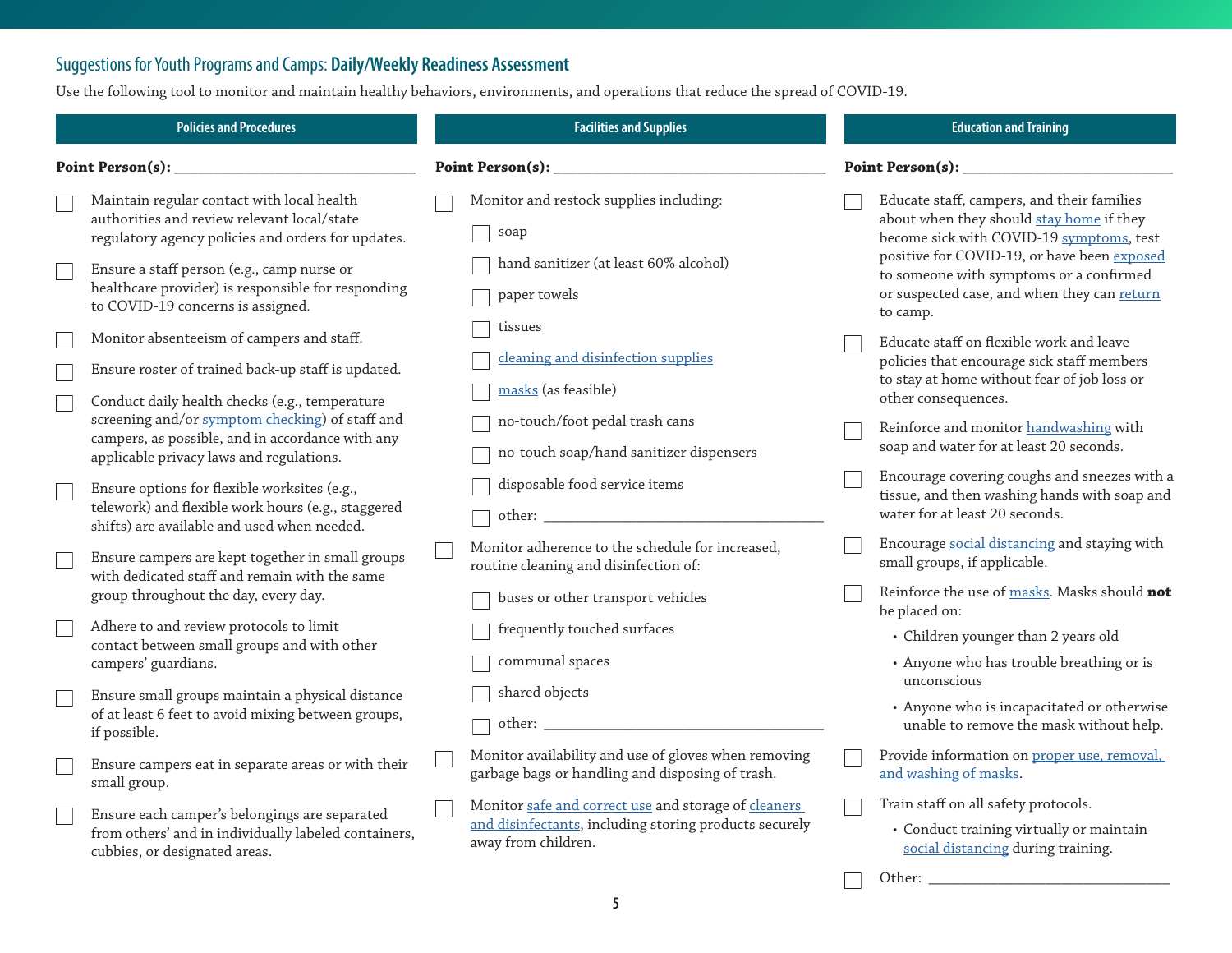### <span id="page-4-0"></span>Suggestions for Youth Programs and Camps: **Daily/Weekly Readiness Assessment**

Use the following tool to monitor and maintain healthy behaviors, environments, and operations that reduce the spread of COVID-19.

| Point Person(s):<br>Point Person(s): $\_$<br>Monitor and restock supplies including:<br>Maintain regular contact with local health<br>Educate staff, campers, and their families<br>authorities and review relevant local/state<br>about when they should stay home if they<br>soap<br>become sick with COVID-19 symptoms, test<br>regulatory agency policies and orders for updates.<br>positive for COVID-19, or have been exposed<br>hand sanitizer (at least 60% alcohol)<br>Ensure a staff person (e.g., camp nurse or<br>to someone with symptoms or a confirmed<br>healthcare provider) is responsible for responding<br>or suspected case, and when they can return<br>paper towels<br>to COVID-19 concerns is assigned.<br>to camp.<br>tissues<br>Monitor absenteeism of campers and staff.<br>Educate staff on flexible work and leave<br>cleaning and disinfection supplies<br>policies that encourage sick staff members<br>Ensure roster of trained back-up staff is updated.<br>to stay at home without fear of job loss or<br>masks (as feasible)<br>other consequences.<br>Conduct daily health checks (e.g., temperature<br>screening and/or symptom checking) of staff and<br>no-touch/foot pedal trash cans<br>Reinforce and monitor handwashing with<br>campers, as possible, and in accordance with any<br>soap and water for at least 20 seconds.<br>no-touch soap/hand sanitizer dispensers<br>applicable privacy laws and regulations.<br>Encourage covering coughs and sneezes with a<br>disposable food service items<br>Ensure options for flexible worksites (e.g., |  |  |  |
|-------------------------------------------------------------------------------------------------------------------------------------------------------------------------------------------------------------------------------------------------------------------------------------------------------------------------------------------------------------------------------------------------------------------------------------------------------------------------------------------------------------------------------------------------------------------------------------------------------------------------------------------------------------------------------------------------------------------------------------------------------------------------------------------------------------------------------------------------------------------------------------------------------------------------------------------------------------------------------------------------------------------------------------------------------------------------------------------------------------------------------------------------------------------------------------------------------------------------------------------------------------------------------------------------------------------------------------------------------------------------------------------------------------------------------------------------------------------------------------------------------------------------------------------------------------------------------------------------|--|--|--|
|                                                                                                                                                                                                                                                                                                                                                                                                                                                                                                                                                                                                                                                                                                                                                                                                                                                                                                                                                                                                                                                                                                                                                                                                                                                                                                                                                                                                                                                                                                                                                                                                 |  |  |  |
|                                                                                                                                                                                                                                                                                                                                                                                                                                                                                                                                                                                                                                                                                                                                                                                                                                                                                                                                                                                                                                                                                                                                                                                                                                                                                                                                                                                                                                                                                                                                                                                                 |  |  |  |
|                                                                                                                                                                                                                                                                                                                                                                                                                                                                                                                                                                                                                                                                                                                                                                                                                                                                                                                                                                                                                                                                                                                                                                                                                                                                                                                                                                                                                                                                                                                                                                                                 |  |  |  |
|                                                                                                                                                                                                                                                                                                                                                                                                                                                                                                                                                                                                                                                                                                                                                                                                                                                                                                                                                                                                                                                                                                                                                                                                                                                                                                                                                                                                                                                                                                                                                                                                 |  |  |  |
|                                                                                                                                                                                                                                                                                                                                                                                                                                                                                                                                                                                                                                                                                                                                                                                                                                                                                                                                                                                                                                                                                                                                                                                                                                                                                                                                                                                                                                                                                                                                                                                                 |  |  |  |
| tissue, and then washing hands with soap and<br>telework) and flexible work hours (e.g., staggered<br>water for at least 20 seconds.<br>shifts) are available and used when needed.                                                                                                                                                                                                                                                                                                                                                                                                                                                                                                                                                                                                                                                                                                                                                                                                                                                                                                                                                                                                                                                                                                                                                                                                                                                                                                                                                                                                             |  |  |  |
| Encourage social distancing and staying with<br>Monitor adherence to the schedule for increased,<br>Ensure campers are kept together in small groups<br>small groups, if applicable.<br>routine cleaning and disinfection of:<br>with dedicated staff and remain with the same<br>Reinforce the use of masks. Masks should not<br>group throughout the day, every day.<br>buses or other transport vehicles                                                                                                                                                                                                                                                                                                                                                                                                                                                                                                                                                                                                                                                                                                                                                                                                                                                                                                                                                                                                                                                                                                                                                                                     |  |  |  |
| be placed on:<br>Adhere to and review protocols to limit<br>frequently touched surfaces<br>• Children younger than 2 years old<br>contact between small groups and with other<br>communal spaces<br>• Anyone who has trouble breathing or is<br>campers' guardians.                                                                                                                                                                                                                                                                                                                                                                                                                                                                                                                                                                                                                                                                                                                                                                                                                                                                                                                                                                                                                                                                                                                                                                                                                                                                                                                             |  |  |  |
| unconscious<br>shared objects<br>Ensure small groups maintain a physical distance<br>• Anyone who is incapacitated or otherwise<br>of at least 6 feet to avoid mixing between groups,<br>unable to remove the mask without help.<br>if possible.                                                                                                                                                                                                                                                                                                                                                                                                                                                                                                                                                                                                                                                                                                                                                                                                                                                                                                                                                                                                                                                                                                                                                                                                                                                                                                                                                |  |  |  |
| Monitor availability and use of gloves when removing<br>Provide information on proper use, removal,<br>Ensure campers eat in separate areas or with their<br>garbage bags or handling and disposing of trash.<br>and washing of masks.<br>small group.                                                                                                                                                                                                                                                                                                                                                                                                                                                                                                                                                                                                                                                                                                                                                                                                                                                                                                                                                                                                                                                                                                                                                                                                                                                                                                                                          |  |  |  |
| Train staff on all safety protocols.<br>Monitor safe and correct use and storage of cleaners<br>Ensure each camper's belongings are separated<br>and disinfectants, including storing products securely<br>• Conduct training virtually or maintain<br>from others' and in individually labeled containers,<br>away from children.<br>social distancing during training.<br>cubbies, or designated areas.<br>Other: _________________                                                                                                                                                                                                                                                                                                                                                                                                                                                                                                                                                                                                                                                                                                                                                                                                                                                                                                                                                                                                                                                                                                                                                           |  |  |  |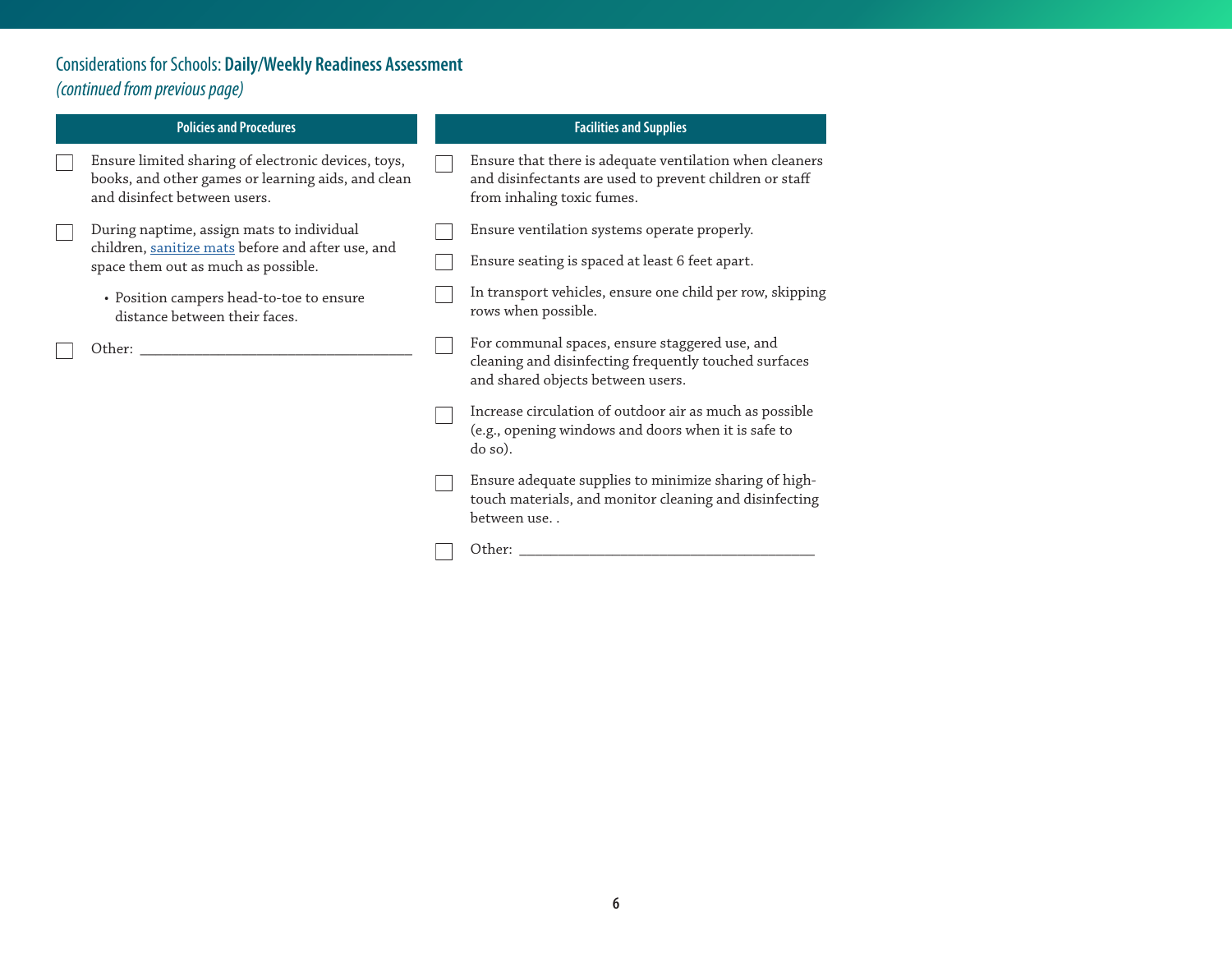## Considerations for Schools: **Daily/Weekly Readiness Assessment**  *(continued from previous page)*

| <b>Policies and Procedures</b>                                                                                                            | <b>Facilities and Supplies</b>                                                                                                                   |
|-------------------------------------------------------------------------------------------------------------------------------------------|--------------------------------------------------------------------------------------------------------------------------------------------------|
| Ensure limited sharing of electronic devices, toys,<br>books, and other games or learning aids, and clean<br>and disinfect between users. | Ensure that there is adequate ventilation when cleaners<br>and disinfectants are used to prevent children or staff<br>from inhaling toxic fumes. |
| During naptime, assign mats to individual                                                                                                 | Ensure ventilation systems operate properly.                                                                                                     |
| children, sanitize mats before and after use, and<br>space them out as much as possible.                                                  | Ensure seating is spaced at least 6 feet apart.                                                                                                  |
| • Position campers head-to-toe to ensure<br>distance between their faces.                                                                 | In transport vehicles, ensure one child per row, skipping<br>rows when possible.                                                                 |
| Other: _                                                                                                                                  | For communal spaces, ensure staggered use, and<br>cleaning and disinfecting frequently touched surfaces<br>and shared objects between users.     |
|                                                                                                                                           | Increase circulation of outdoor air as much as possible<br>(e.g., opening windows and doors when it is safe to<br>do so).                        |
|                                                                                                                                           | Ensure adequate supplies to minimize sharing of high-<br>touch materials, and monitor cleaning and disinfecting<br>between use                   |
|                                                                                                                                           | Other:                                                                                                                                           |
|                                                                                                                                           |                                                                                                                                                  |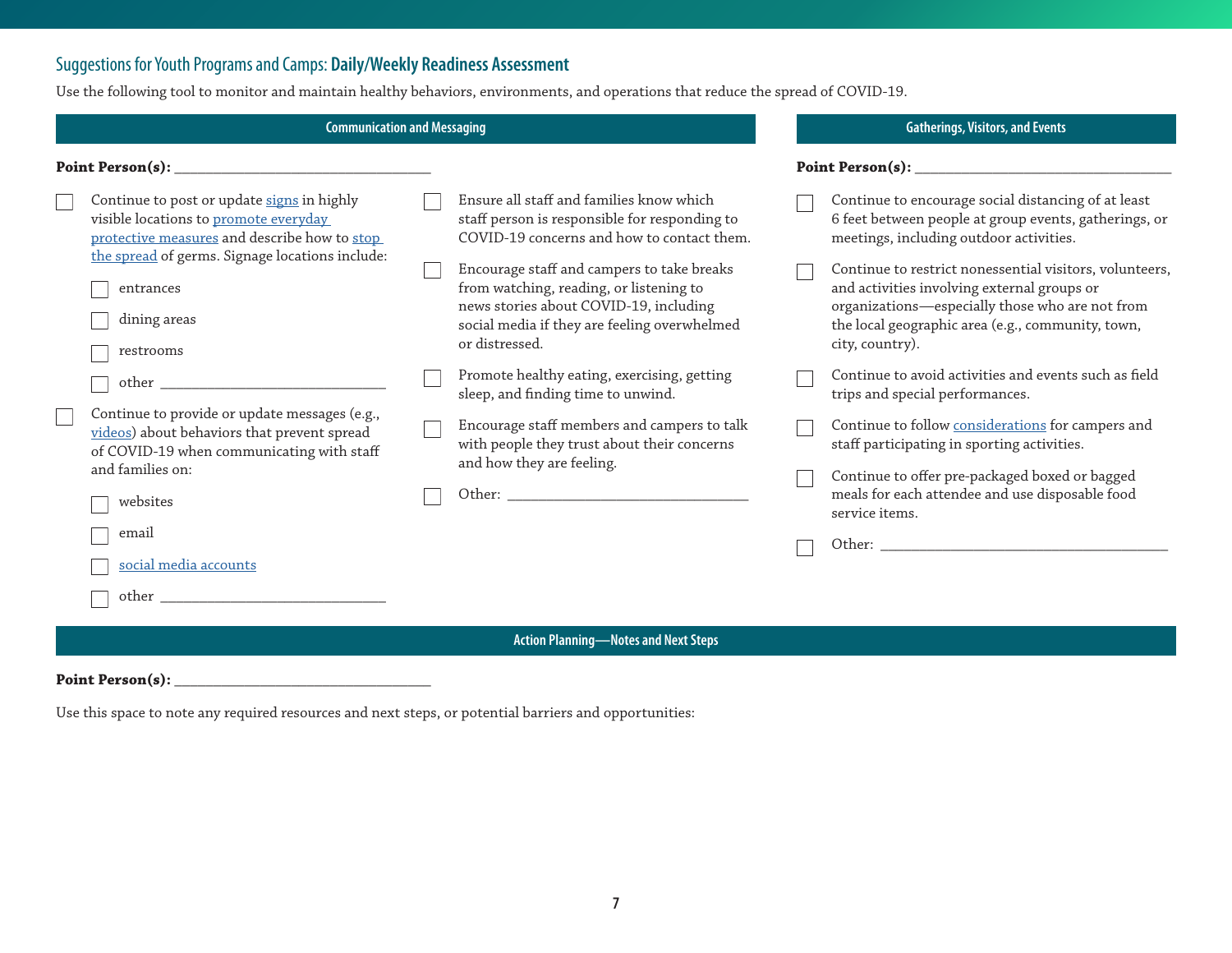### Suggestions for Youth Programs and Camps: **Daily/Weekly Readiness Assessment**

Use the following tool to monitor and maintain healthy behaviors, environments, and operations that reduce the spread of COVID-19.

| <b>Communication and Messaging</b>                                                                                                                                                                                                                                                                                                                                                                                                                                | <b>Gatherings, Visitors, and Events</b>                                                                                                                                                                                                                                                                                                                                                                                                                                                                                                                      |  |                                                                                                                                                                                                                                                                                                                                                                                                                                                                                                                                                                                                                                                                                                                     |  |  |
|-------------------------------------------------------------------------------------------------------------------------------------------------------------------------------------------------------------------------------------------------------------------------------------------------------------------------------------------------------------------------------------------------------------------------------------------------------------------|--------------------------------------------------------------------------------------------------------------------------------------------------------------------------------------------------------------------------------------------------------------------------------------------------------------------------------------------------------------------------------------------------------------------------------------------------------------------------------------------------------------------------------------------------------------|--|---------------------------------------------------------------------------------------------------------------------------------------------------------------------------------------------------------------------------------------------------------------------------------------------------------------------------------------------------------------------------------------------------------------------------------------------------------------------------------------------------------------------------------------------------------------------------------------------------------------------------------------------------------------------------------------------------------------------|--|--|
|                                                                                                                                                                                                                                                                                                                                                                                                                                                                   |                                                                                                                                                                                                                                                                                                                                                                                                                                                                                                                                                              |  |                                                                                                                                                                                                                                                                                                                                                                                                                                                                                                                                                                                                                                                                                                                     |  |  |
| Continue to post or update signs in highly<br>visible locations to promote everyday<br>protective measures and describe how to stop<br>the spread of germs. Signage locations include:<br>entrances<br>dining areas<br>restrooms<br>other<br>Continue to provide or update messages (e.g.,<br>videos) about behaviors that prevent spread<br>of COVID-19 when communicating with staff<br>and families on:<br>websites<br>email<br>social media accounts<br>other | Ensure all staff and families know which<br>staff person is responsible for responding to<br>COVID-19 concerns and how to contact them.<br>Encourage staff and campers to take breaks<br>from watching, reading, or listening to<br>news stories about COVID-19, including<br>social media if they are feeling overwhelmed<br>or distressed.<br>Promote healthy eating, exercising, getting<br>sleep, and finding time to unwind.<br>Encourage staff members and campers to talk<br>with people they trust about their concerns<br>and how they are feeling. |  | Continue to encourage social distancing of at least<br>6 feet between people at group events, gatherings, or<br>meetings, including outdoor activities.<br>Continue to restrict nonessential visitors, volunteers,<br>and activities involving external groups or<br>organizations-especially those who are not from<br>the local geographic area (e.g., community, town,<br>city, country).<br>Continue to avoid activities and events such as field<br>trips and special performances.<br>Continue to follow considerations for campers and<br>staff participating in sporting activities.<br>Continue to offer pre-packaged boxed or bagged<br>meals for each attendee and use disposable food<br>service items. |  |  |
|                                                                                                                                                                                                                                                                                                                                                                                                                                                                   | <b>Action Planning-Notes and Next Steps</b>                                                                                                                                                                                                                                                                                                                                                                                                                                                                                                                  |  |                                                                                                                                                                                                                                                                                                                                                                                                                                                                                                                                                                                                                                                                                                                     |  |  |

**Point Person(s): \_\_\_\_\_\_\_\_\_\_\_\_\_\_\_\_\_\_\_\_\_\_\_\_\_\_\_\_\_\_\_\_\_**

Use this space to note any required resources and next steps, or potential barriers and opportunities: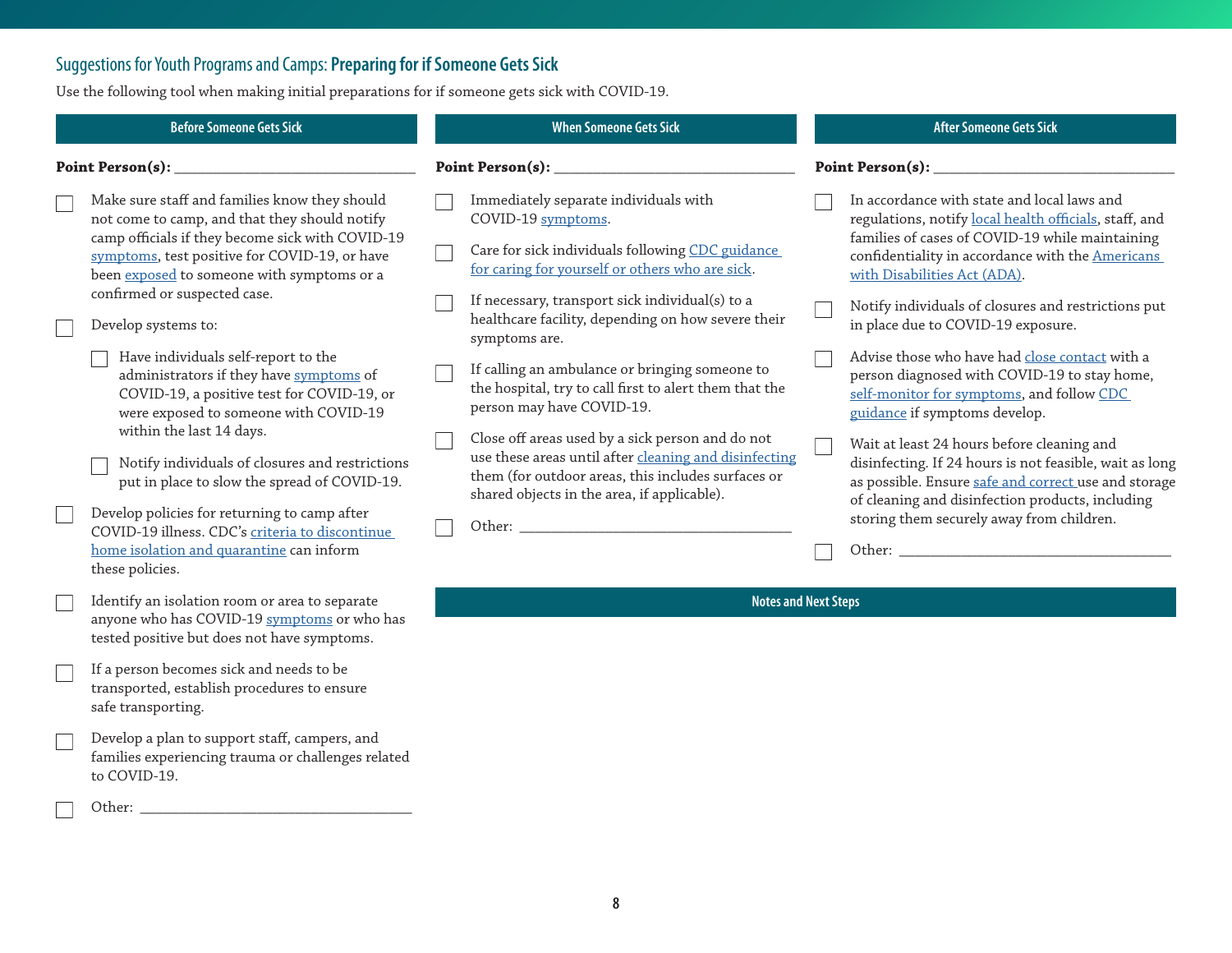# <span id="page-7-0"></span>Suggestions for Youth Programs and Camps: **Preparing for if Someone Gets Sick**

Use the following tool when making initial preparations for if someone gets sick with COVID-19.

|                  | <b>Before Someone Gets Sick</b>                                                                                                                                                                                                                                                   |                  | <b>When Someone Gets Sick</b>                                                                                                                                                                                         |  | <b>After Someone Gets Sick</b>                                                                                                                                                                                                                                                                      |  |  |
|------------------|-----------------------------------------------------------------------------------------------------------------------------------------------------------------------------------------------------------------------------------------------------------------------------------|------------------|-----------------------------------------------------------------------------------------------------------------------------------------------------------------------------------------------------------------------|--|-----------------------------------------------------------------------------------------------------------------------------------------------------------------------------------------------------------------------------------------------------------------------------------------------------|--|--|
| Point Person(s): |                                                                                                                                                                                                                                                                                   | Point Person(s): |                                                                                                                                                                                                                       |  | <b>Point Person(s):</b>                                                                                                                                                                                                                                                                             |  |  |
|                  | Make sure staff and families know they should<br>not come to camp, and that they should notify<br>camp officials if they become sick with COVID-19<br>symptoms, test positive for COVID-19, or have<br>been exposed to someone with symptoms or a<br>confirmed or suspected case. |                  | Immediately separate individuals with<br>COVID-19 symptoms.<br>Care for sick individuals following CDC guidance<br>for caring for yourself or others who are sick.<br>If necessary, transport sick individual(s) to a |  | In accordance with state and local laws and<br>regulations, notify local health officials, staff, and<br>families of cases of COVID-19 while maintaining<br>confidentiality in accordance with the Americans<br>with Disabilities Act (ADA).<br>Notify individuals of closures and restrictions put |  |  |
|                  | Develop systems to:                                                                                                                                                                                                                                                               |                  | healthcare facility, depending on how severe their<br>symptoms are.                                                                                                                                                   |  | in place due to COVID-19 exposure.                                                                                                                                                                                                                                                                  |  |  |
|                  | Have individuals self-report to the<br>administrators if they have symptoms of<br>COVID-19, a positive test for COVID-19, or<br>were exposed to someone with COVID-19                                                                                                             |                  | If calling an ambulance or bringing someone to<br>the hospital, try to call first to alert them that the<br>person may have COVID-19.                                                                                 |  | Advise those who have had close contact with a<br>person diagnosed with COVID-19 to stay home,<br>self-monitor for symptoms, and follow CDC<br>guidance if symptoms develop.                                                                                                                        |  |  |
|                  | within the last 14 days.<br>Notify individuals of closures and restrictions<br>put in place to slow the spread of COVID-19.                                                                                                                                                       |                  | Close off areas used by a sick person and do not<br>use these areas until after cleaning and disinfecting<br>them (for outdoor areas, this includes surfaces or<br>shared objects in the area, if applicable).        |  | Wait at least 24 hours before cleaning and<br>disinfecting. If 24 hours is not feasible, wait as long<br>as possible. Ensure safe and correct use and storage<br>of cleaning and disinfection products, including                                                                                   |  |  |
|                  | Develop policies for returning to camp after<br>COVID-19 illness. CDC's criteria to discontinue                                                                                                                                                                                   |                  |                                                                                                                                                                                                                       |  | storing them securely away from children.                                                                                                                                                                                                                                                           |  |  |
|                  | home isolation and quarantine can inform<br>these policies.                                                                                                                                                                                                                       |                  |                                                                                                                                                                                                                       |  | Other: We have a state of the state of the state of the state of the state of the state of the state of the state of the state of the state of the state of the state of the state of the state of the state of the state of t                                                                      |  |  |
|                  | Identify an isolation room or area to separate<br>anyone who has COVID-19 symptoms or who has<br>tested positive but does not have symptoms.                                                                                                                                      |                  | <b>Notes and Next Steps</b>                                                                                                                                                                                           |  |                                                                                                                                                                                                                                                                                                     |  |  |
|                  | If a person becomes sick and needs to be<br>transported, establish procedures to ensure<br>safe transporting.                                                                                                                                                                     |                  |                                                                                                                                                                                                                       |  |                                                                                                                                                                                                                                                                                                     |  |  |
|                  | Develop a plan to support staff, campers, and<br>families experiencing trauma or challenges related<br>to COVID-19.                                                                                                                                                               |                  |                                                                                                                                                                                                                       |  |                                                                                                                                                                                                                                                                                                     |  |  |
|                  | Other:                                                                                                                                                                                                                                                                            |                  |                                                                                                                                                                                                                       |  |                                                                                                                                                                                                                                                                                                     |  |  |